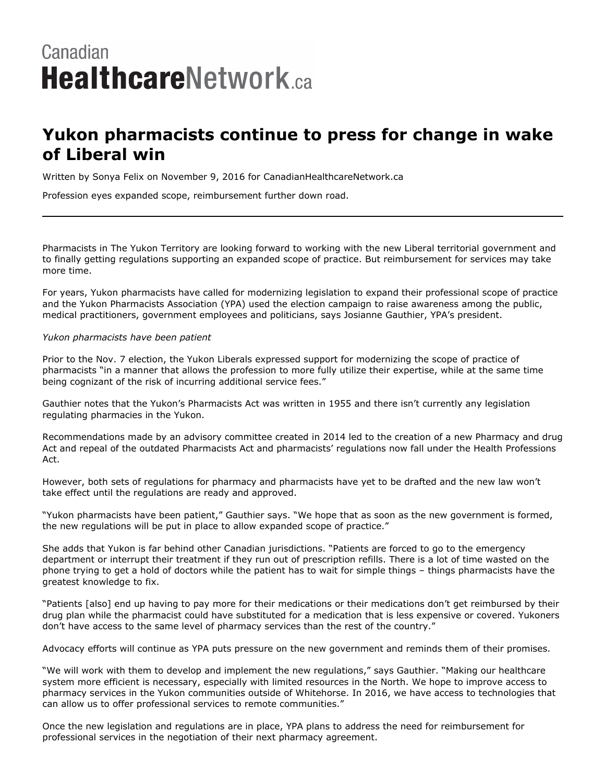## Canadian **HealthcareNetwork.ca**

## **Yukon pharmacists continue to press for change in wake of Liberal win**

Written by Sonya Felix on November 9, 2016 for CanadianHealthcareNetwork.ca

Profession eyes expanded scope, reimbursement further down road.

Pharmacists in The Yukon Territory are looking forward to working with the new Liberal territorial government and to finally getting regulations supporting an expanded scope of practice. But reimbursement for services may take more time.

For years, Yukon pharmacists have called for modernizing legislation to expand their professional scope of practice and the Yukon Pharmacists Association (YPA) used the election campaign to raise awareness among the public, medical practitioners, government employees and politicians, says Josianne Gauthier, YPA's president.

## *Yukon pharmacists have been patient*

Prior to the Nov. 7 election, the Yukon Liberals expressed support for modernizing the scope of practice of pharmacists "in a manner that allows the profession to more fully utilize their expertise, while at the same time being cognizant of the risk of incurring additional service fees."

Gauthier notes that the Yukon's Pharmacists Act was written in 1955 and there isn't currently any legislation regulating pharmacies in the Yukon.

Recommendations made by an advisory committee created in 2014 led to the creation of a new Pharmacy and drug Act and repeal of the outdated Pharmacists Act and pharmacists' regulations now fall under the Health Professions Act.

However, both sets of regulations for pharmacy and pharmacists have yet to be drafted and the new law won't take effect until the regulations are ready and approved.

"Yukon pharmacists have been patient," Gauthier says. "We hope that as soon as the new government is formed, the new regulations will be put in place to allow expanded scope of practice."

She adds that Yukon is far behind other Canadian jurisdictions. "Patients are forced to go to the emergency department or interrupt their treatment if they run out of prescription refills. There is a lot of time wasted on the phone trying to get a hold of doctors while the patient has to wait for simple things – things pharmacists have the greatest knowledge to fix.

"Patients [also] end up having to pay more for their medications or their medications don't get reimbursed by their drug plan while the pharmacist could have substituted for a medication that is less expensive or covered. Yukoners don't have access to the same level of pharmacy services than the rest of the country."

Advocacy efforts will continue as YPA puts pressure on the new government and reminds them of their promises.

"We will work with them to develop and implement the new regulations," says Gauthier. "Making our healthcare system more efficient is necessary, especially with limited resources in the North. We hope to improve access to pharmacy services in the Yukon communities outside of Whitehorse. In 2016, we have access to technologies that can allow us to offer professional services to remote communities."

Once the new legislation and regulations are in place, YPA plans to address the need for reimbursement for professional services in the negotiation of their next pharmacy agreement.